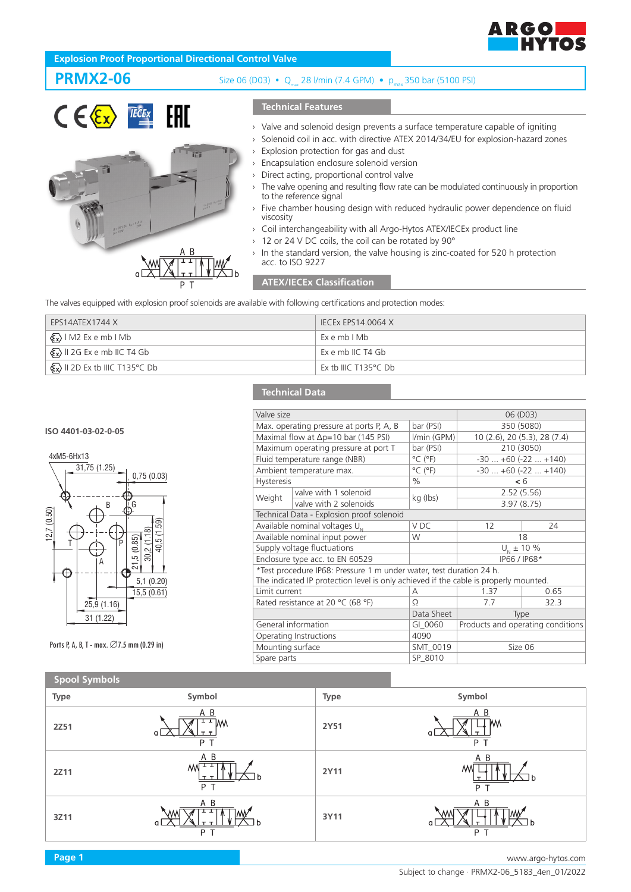

# **Explosion Proof Proportional Directional Control Valve**

ie.



# **PRMX2-06** Size 06 (D03) • Q<sub>max</sub> 28 l/min (7.4 GPM) • p<sub>max</sub> 350 bar (5100 PSI)

## **Technical Features**

- › Valve and solenoid design prevents a surface temperature capable of igniting
- › Solenoid coil in acc. with directive ATEX 2014/34/EU for explosion-hazard zones
- Explosion protection for gas and dust
- Encapsulation enclosure solenoid version
- Direct acting, proportional control valve
- The valve opening and resulting flow rate can be modulated continuously in proportion to the reference signal
- Five chamber housing design with reduced hydraulic power dependence on fluid viscosity
- › Coil interchangeability with all Argo-Hytos ATEX/IECEx product line
- › 12 or 24 V DC coils, the coil can be rotated by 90°
- In the standard version, the valve housing is zinc-coated for 520 h protection acc. to ISO 9227

## **ATEX/IECEx Classification**

The valves equipped with explosion proof solenoids are available with following certifications and protection modes:

| EPS14ATEX1744 X                                                       | IECEx EPS14.0064 X   |
|-----------------------------------------------------------------------|----------------------|
| $\langle \overline{\xi_x} \rangle$   M2 Ex e mb   Mb                  | Exemb I Mb           |
| $\langle \overline{\xi_{\mathbf{x}}} \rangle$ II 2G Ex e mb IIC T4 Gb | Ex e mb IIC T4 Gb    |
| $\langle \mathcal{E}_x \rangle$ II 2D Ex tb IIIC T135°C Db            | Ex th IIIC T135°C Db |

## **Technical Data**

**ISO 4401-03-02-0-05**



Ports P, A, B, T - max. ∅7.5 mm (0.29 in)

| Valve size                                    |                                                                                                                                                             |                              | 06 (D03)                          |      |
|-----------------------------------------------|-------------------------------------------------------------------------------------------------------------------------------------------------------------|------------------------------|-----------------------------------|------|
| Max. operating pressure at ports P, A, B      |                                                                                                                                                             | bar (PSI)                    | 350 (5080)                        |      |
| Maximal flow at $\Delta p = 10$ bar (145 PSI) |                                                                                                                                                             | I/min (GPM)                  | 10 (2.6), 20 (5.3), 28 (7.4)      |      |
| Maximum operating pressure at port T          |                                                                                                                                                             | bar (PSI)                    | 210 (3050)                        |      |
| Fluid temperature range (NBR)                 |                                                                                                                                                             | $^{\circ}$ C ( $^{\circ}$ F) | $-30+60(-22+140)$                 |      |
| Ambient temperature max.                      |                                                                                                                                                             | $^{\circ}$ C ( $^{\circ}$ F) | $-30+60(-22+140)$                 |      |
| <b>Hysteresis</b>                             |                                                                                                                                                             | $\%$                         | < 6                               |      |
| Weight                                        | valve with 1 solenoid                                                                                                                                       | kg (lbs)                     | 2.52(5.56)                        |      |
|                                               | valve with 2 solenoids                                                                                                                                      |                              | 3.97(8.75)                        |      |
|                                               | Technical Data - Explosion proof solenoid                                                                                                                   |                              |                                   |      |
| Available nominal voltages U <sub>N</sub>     |                                                                                                                                                             | V DC                         | 12                                | 24   |
| Available nominal input power                 |                                                                                                                                                             | W                            | 18                                |      |
| Supply voltage fluctuations                   |                                                                                                                                                             |                              | $U_{N}$ ± 10 %                    |      |
| Enclosure type acc. to EN 60529               |                                                                                                                                                             |                              | IP66 / IP68*                      |      |
|                                               | *Test procedure IP68: Pressure 1 m under water, test duration 24 h.<br>The indicated IP protection level is only achieved if the cable is properly mounted. |                              |                                   |      |
| Limit current                                 |                                                                                                                                                             | А                            | 1.37                              | 0.65 |
| Rated resistance at 20 °C (68 °F)             |                                                                                                                                                             | Ω                            | 7.7                               | 32.3 |
|                                               |                                                                                                                                                             | Data Sheet                   | Type                              |      |
| General information                           |                                                                                                                                                             | GI 0060                      | Products and operating conditions |      |
|                                               | Operating Instructions                                                                                                                                      | 4090                         |                                   |      |
| Mounting surface                              |                                                                                                                                                             | SMT 0019                     | Size 06                           |      |
| Spare parts                                   |                                                                                                                                                             | SP 8010                      |                                   |      |

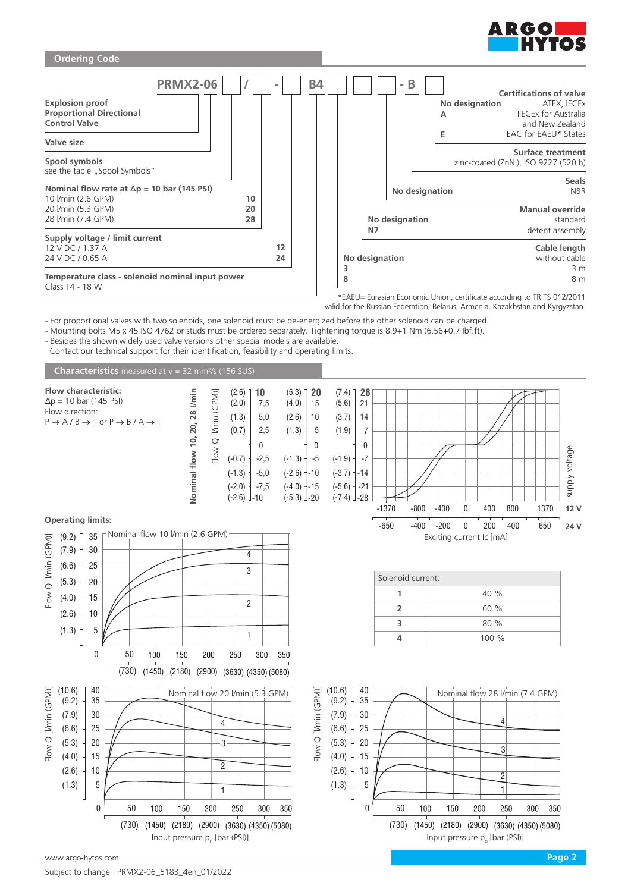



valid for the Russian Federation, Belarus, Armenia, Kazakhstan and Kyrgyzstan.

- For proportional valves with two solenoids, one solenoid must be de-energized before the other solenoid can be charged.

- Mounting bolts M5 x 45 ISO 4762 or studs must be ordered separately. Tightening torque is 8.9+1 Nm (6.56+0.7 Ibf.ft).

- Besides the shown widely used valve versions other special models are available.

Contact our technical support for their identification, feasibility and operating limits.

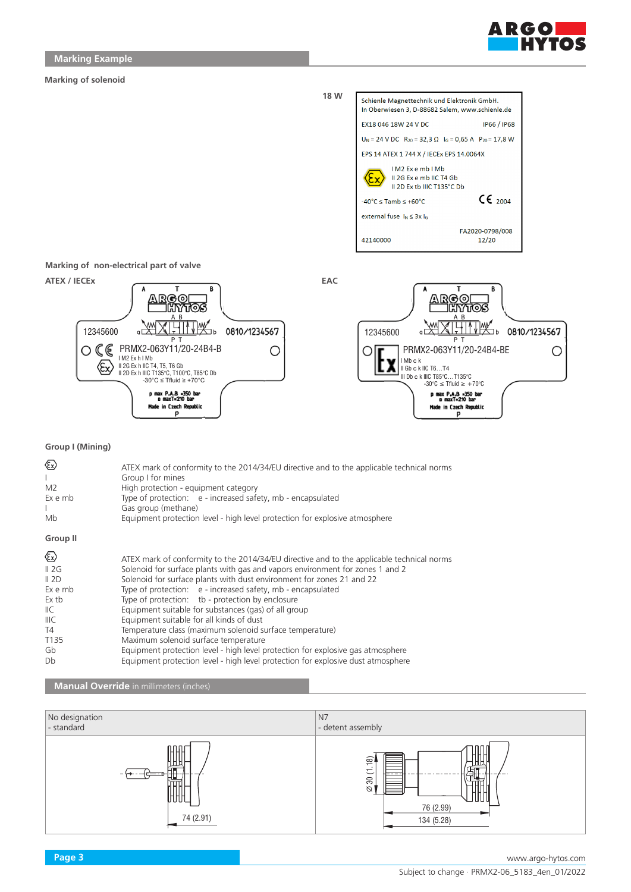

#### **Marking of solenoid**



**Marking of non-electrical part of valve**



## **Group I (Mining)**

| ⊛<br>M <sub>2</sub><br>Ex e mb<br>Mb    | ATEX mark of conformity to the 2014/34/EU directive and to the applicable technical norms<br>Group I for mines<br>High protection - equipment category<br>Type of protection: e - increased safety, mb - encapsulated<br>Gas group (methane)<br>Equipment protection level - high level protection for explosive atmosphere |
|-----------------------------------------|-----------------------------------------------------------------------------------------------------------------------------------------------------------------------------------------------------------------------------------------------------------------------------------------------------------------------------|
| Group II                                |                                                                                                                                                                                                                                                                                                                             |
| $\langle \epsilon_{\mathbf{x}} \rangle$ | ATEX mark of conformity to the 2014/34/EU directive and to the applicable technical norms                                                                                                                                                                                                                                   |
| II 2G                                   | Solenoid for surface plants with gas and vapors environment for zones 1 and 2                                                                                                                                                                                                                                               |
| II 2D                                   | Solenoid for surface plants with dust environment for zones 21 and 22                                                                                                                                                                                                                                                       |
| Ex e mb                                 | Type of protection: e - increased safety, mb - encapsulated                                                                                                                                                                                                                                                                 |
| Ex tb                                   | Type of protection: tb - protection by enclosure                                                                                                                                                                                                                                                                            |
| IIC                                     | Equipment suitable for substances (gas) of all group                                                                                                                                                                                                                                                                        |
| IIIC                                    | Equipment suitable for all kinds of dust                                                                                                                                                                                                                                                                                    |
| T4                                      | Temperature class (maximum solenoid surface temperature)                                                                                                                                                                                                                                                                    |
| T <sub>135</sub>                        | Maximum solenoid surface temperature                                                                                                                                                                                                                                                                                        |
| Gb                                      | Equipment protection level - high level protection for explosive gas atmosphere                                                                                                                                                                                                                                             |
| Db                                      | Equipment protection level - high level protection for explosive dust atmosphere                                                                                                                                                                                                                                            |

### **Manual Override** in millimeters (inches)